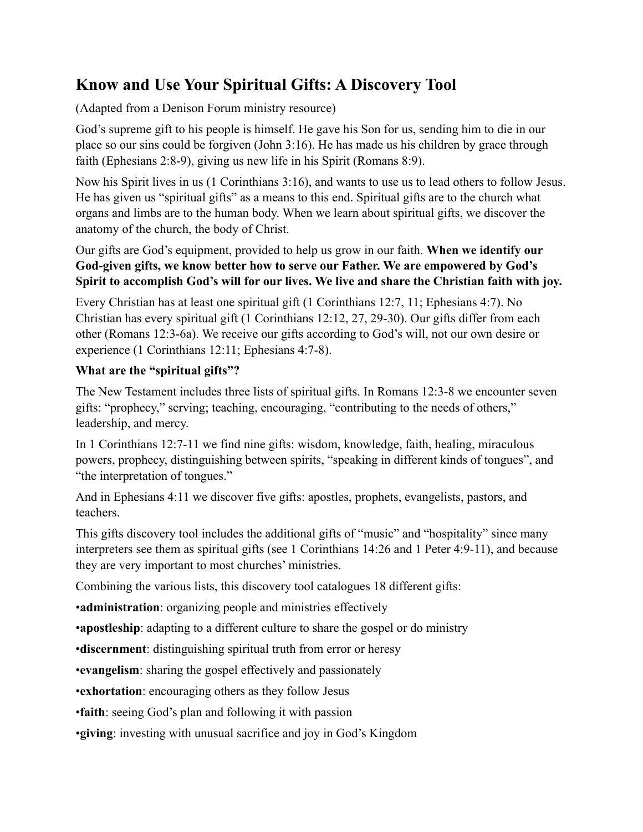## **Know and Use Your Spiritual Gifts: A Discovery Tool**

(Adapted from a Denison Forum ministry resource)

God's supreme gift to his people is himself. He gave his Son for us, sending him to die in our place so our sins could be forgiven (John 3:16). He has made us his children by grace through faith (Ephesians 2:8-9), giving us new life in his Spirit (Romans 8:9).

Now his Spirit lives in us (1 Corinthians 3:16), and wants to use us to lead others to follow Jesus. He has given us "spiritual gifts" as a means to this end. Spiritual gifts are to the church what organs and limbs are to the human body. When we learn about spiritual gifts, we discover the anatomy of the church, the body of Christ.

Our gifts are God's equipment, provided to help us grow in our faith. **When we identify our God-given gifts, we know better how to serve our Father. We are empowered by God's Spirit to accomplish God's will for our lives. We live and share the Christian faith with joy.**

Every Christian has at least one spiritual gift (1 Corinthians 12:7, 11; Ephesians 4:7). No Christian has every spiritual gift (1 Corinthians 12:12, 27, 29-30). Our gifts differ from each other (Romans 12:3-6a). We receive our gifts according to God's will, not our own desire or experience (1 Corinthians 12:11; Ephesians 4:7-8).

## **What are the "spiritual gifts"?**

The New Testament includes three lists of spiritual gifts. In Romans 12:3-8 we encounter seven gifts: "prophecy," serving; teaching, encouraging, "contributing to the needs of others," leadership, and mercy.

In 1 Corinthians 12:7-11 we find nine gifts: wisdom, knowledge, faith, healing, miraculous powers, prophecy, distinguishing between spirits, "speaking in different kinds of tongues", and "the interpretation of tongues."

And in Ephesians 4:11 we discover five gifts: apostles, prophets, evangelists, pastors, and teachers.

This gifts discovery tool includes the additional gifts of "music" and "hospitality" since many interpreters see them as spiritual gifts (see 1 Corinthians 14:26 and 1 Peter 4:9-11), and because they are very important to most churches' ministries.

Combining the various lists, this discovery tool catalogues 18 different gifts:

•**administration**: organizing people and ministries effectively

•**apostleship**: adapting to a different culture to share the gospel or do ministry

•**discernment**: distinguishing spiritual truth from error or heresy

•**evangelism**: sharing the gospel effectively and passionately

•**exhortation**: encouraging others as they follow Jesus

•**faith**: seeing God's plan and following it with passion

•**giving**: investing with unusual sacrifice and joy in God's Kingdom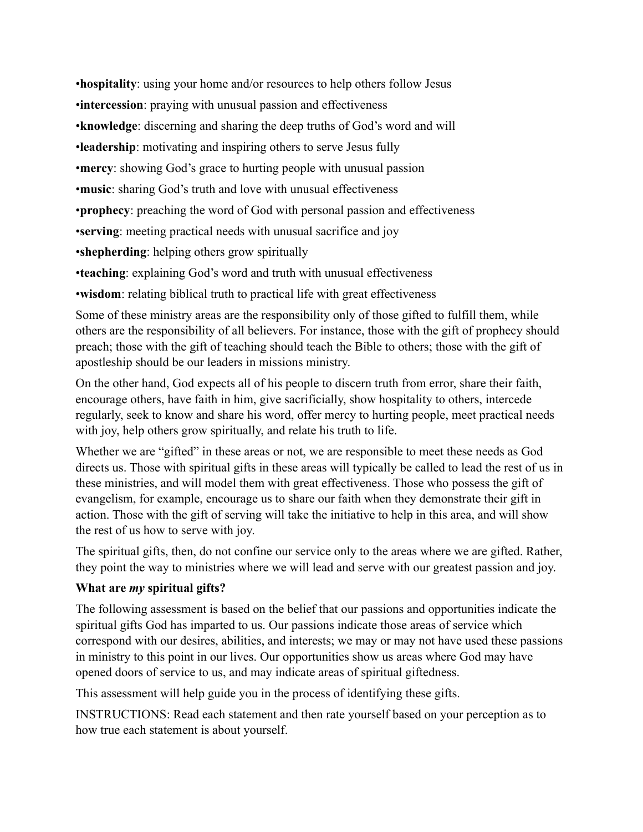•**hospitality**: using your home and/or resources to help others follow Jesus •**intercession**: praying with unusual passion and effectiveness •**knowledge**: discerning and sharing the deep truths of God's word and will •**leadership**: motivating and inspiring others to serve Jesus fully •**mercy**: showing God's grace to hurting people with unusual passion •**music**: sharing God's truth and love with unusual effectiveness •**prophecy**: preaching the word of God with personal passion and effectiveness •**serving**: meeting practical needs with unusual sacrifice and joy •**shepherding**: helping others grow spiritually •**teaching**: explaining God's word and truth with unusual effectiveness

•**wisdom**: relating biblical truth to practical life with great effectiveness

Some of these ministry areas are the responsibility only of those gifted to fulfill them, while others are the responsibility of all believers. For instance, those with the gift of prophecy should preach; those with the gift of teaching should teach the Bible to others; those with the gift of apostleship should be our leaders in missions ministry.

On the other hand, God expects all of his people to discern truth from error, share their faith, encourage others, have faith in him, give sacrificially, show hospitality to others, intercede regularly, seek to know and share his word, offer mercy to hurting people, meet practical needs with joy, help others grow spiritually, and relate his truth to life.

Whether we are "gifted" in these areas or not, we are responsible to meet these needs as God directs us. Those with spiritual gifts in these areas will typically be called to lead the rest of us in these ministries, and will model them with great effectiveness. Those who possess the gift of evangelism, for example, encourage us to share our faith when they demonstrate their gift in action. Those with the gift of serving will take the initiative to help in this area, and will show the rest of us how to serve with joy.

The spiritual gifts, then, do not confine our service only to the areas where we are gifted. Rather, they point the way to ministries where we will lead and serve with our greatest passion and joy.

## **What are** *my* **spiritual gifts?**

The following assessment is based on the belief that our passions and opportunities indicate the spiritual gifts God has imparted to us. Our passions indicate those areas of service which correspond with our desires, abilities, and interests; we may or may not have used these passions in ministry to this point in our lives. Our opportunities show us areas where God may have opened doors of service to us, and may indicate areas of spiritual giftedness.

This assessment will help guide you in the process of identifying these gifts.

INSTRUCTIONS: Read each statement and then rate yourself based on your perception as to how true each statement is about yourself.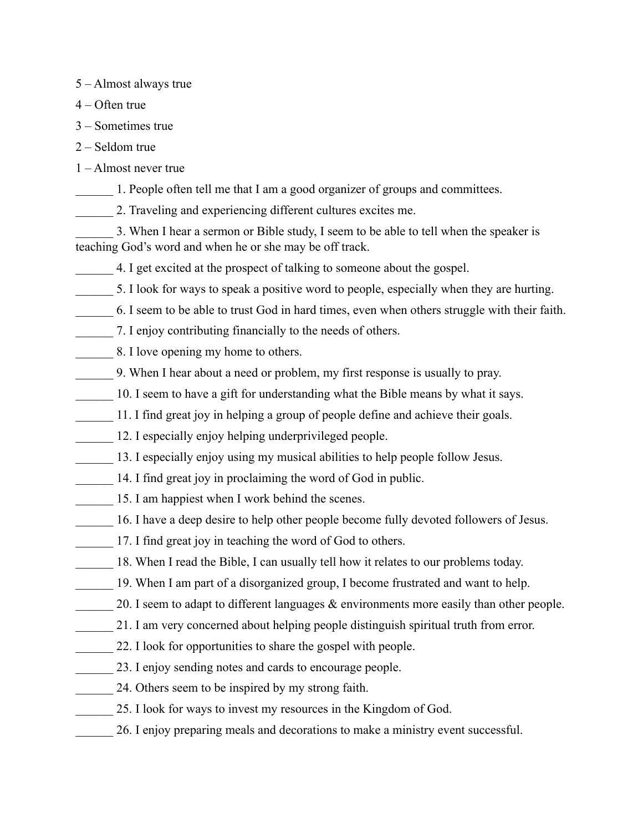5 – Almost always true

- 4 Often true
- 3 Sometimes true
- 2 Seldom true
- 1 Almost never true
- 1. People often tell me that I am a good organizer of groups and committees.
- \_\_\_\_\_\_ 2. Traveling and experiencing different cultures excites me.
- \_\_\_\_\_\_ 3. When I hear a sermon or Bible study, I seem to be able to tell when the speaker is teaching God's word and when he or she may be off track.
- \_\_\_\_\_\_ 4. I get excited at the prospect of talking to someone about the gospel.
- 5. I look for ways to speak a positive word to people, especially when they are hurting.
- \_\_\_\_\_\_ 6. I seem to be able to trust God in hard times, even when others struggle with their faith.
- 7. I enjoy contributing financially to the needs of others.
- 8. I love opening my home to others.
- \_\_\_\_\_\_ 9. When I hear about a need or problem, my first response is usually to pray.
- 10. I seem to have a gift for understanding what the Bible means by what it says.
- \_\_\_\_\_\_ 11. I find great joy in helping a group of people define and achieve their goals.
- \_\_\_\_\_\_ 12. I especially enjoy helping underprivileged people.
- 13. I especially enjoy using my musical abilities to help people follow Jesus.
- 14. I find great joy in proclaiming the word of God in public.
- 15. I am happiest when I work behind the scenes.
- 16. I have a deep desire to help other people become fully devoted followers of Jesus.
- 17. I find great joy in teaching the word of God to others.
- 18. When I read the Bible, I can usually tell how it relates to our problems today.
- 19. When I am part of a disorganized group, I become frustrated and want to help.
- 20. I seem to adapt to different languages & environments more easily than other people.
- 21. I am very concerned about helping people distinguish spiritual truth from error.
- \_\_\_\_\_\_ 22. I look for opportunities to share the gospel with people.
- 23. I enjoy sending notes and cards to encourage people.
	- 24. Others seem to be inspired by my strong faith.
- 25. I look for ways to invest my resources in the Kingdom of God.
	- 26. I enjoy preparing meals and decorations to make a ministry event successful.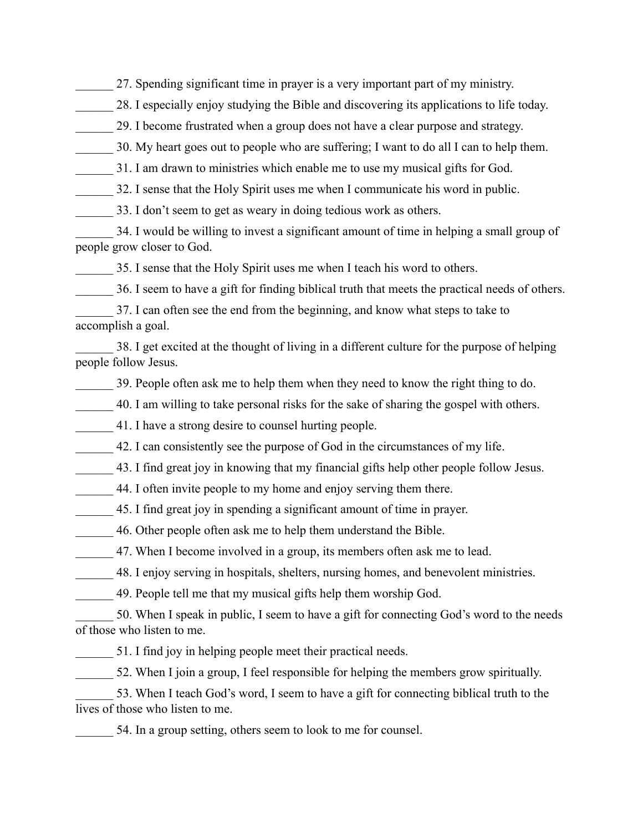27. Spending significant time in prayer is a very important part of my ministry.

28. I especially enjoy studying the Bible and discovering its applications to life today.

29. I become frustrated when a group does not have a clear purpose and strategy.

\_\_\_\_\_\_ 30. My heart goes out to people who are suffering; I want to do all I can to help them.

31. I am drawn to ministries which enable me to use my musical gifts for God.

32. I sense that the Holy Spirit uses me when I communicate his word in public.

33. I don't seem to get as weary in doing tedious work as others.

34. I would be willing to invest a significant amount of time in helping a small group of people grow closer to God.

\_\_\_\_\_\_ 35. I sense that the Holy Spirit uses me when I teach his word to others.

\_\_\_\_\_\_ 36. I seem to have a gift for finding biblical truth that meets the practical needs of others.

37. I can often see the end from the beginning, and know what steps to take to accomplish a goal.

38. I get excited at the thought of living in a different culture for the purpose of helping people follow Jesus.

\_\_\_\_\_\_ 39. People often ask me to help them when they need to know the right thing to do.

\_\_\_\_\_\_ 40. I am willing to take personal risks for the sake of sharing the gospel with others.

\_\_\_\_\_\_ 41. I have a strong desire to counsel hurting people.

\_\_\_\_\_\_ 42. I can consistently see the purpose of God in the circumstances of my life.

43. I find great joy in knowing that my financial gifts help other people follow Jesus.

44. I often invite people to my home and enjoy serving them there.

\_\_\_\_\_\_ 45. I find great joy in spending a significant amount of time in prayer.

\_\_\_\_\_\_ 46. Other people often ask me to help them understand the Bible.

\_\_\_\_\_\_ 47. When I become involved in a group, its members often ask me to lead.

48. I enjoy serving in hospitals, shelters, nursing homes, and benevolent ministries.

\_\_\_\_\_\_ 49. People tell me that my musical gifts help them worship God.

\_\_\_\_\_\_ 50. When I speak in public, I seem to have a gift for connecting God's word to the needs of those who listen to me.

51. I find joy in helping people meet their practical needs.

\_\_\_\_\_\_ 52. When I join a group, I feel responsible for helping the members grow spiritually.

53. When I teach God's word, I seem to have a gift for connecting biblical truth to the lives of those who listen to me.

\_\_\_\_\_\_ 54. In a group setting, others seem to look to me for counsel.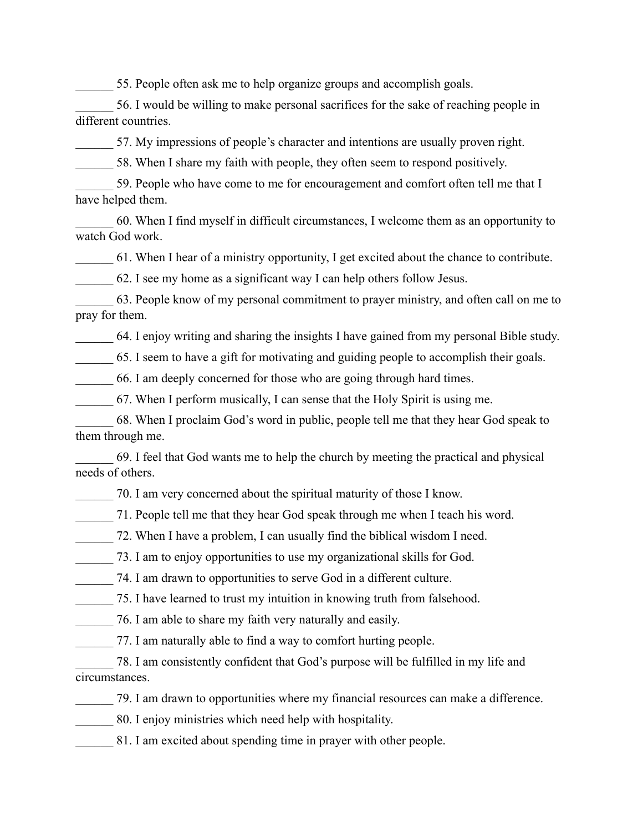\_\_\_\_\_\_ 55. People often ask me to help organize groups and accomplish goals.

56. I would be willing to make personal sacrifices for the sake of reaching people in different countries.

57. My impressions of people's character and intentions are usually proven right.

58. When I share my faith with people, they often seem to respond positively.

59. People who have come to me for encouragement and comfort often tell me that I have helped them.

\_\_\_\_\_\_ 60. When I find myself in difficult circumstances, I welcome them as an opportunity to watch God work.

\_\_\_\_\_\_ 61. When I hear of a ministry opportunity, I get excited about the chance to contribute.

\_\_\_\_\_\_ 62. I see my home as a significant way I can help others follow Jesus.

\_\_\_\_\_\_ 63. People know of my personal commitment to prayer ministry, and often call on me to pray for them.

\_\_\_\_\_\_ 64. I enjoy writing and sharing the insights I have gained from my personal Bible study.

\_\_\_\_\_\_ 65. I seem to have a gift for motivating and guiding people to accomplish their goals.

\_\_\_\_\_\_ 66. I am deeply concerned for those who are going through hard times.

\_\_\_\_\_\_ 67. When I perform musically, I can sense that the Holy Spirit is using me.

\_\_\_\_\_\_ 68. When I proclaim God's word in public, people tell me that they hear God speak to them through me.

\_\_\_\_\_\_ 69. I feel that God wants me to help the church by meeting the practical and physical needs of others.

\_\_\_\_\_\_ 70. I am very concerned about the spiritual maturity of those I know.

\_\_\_\_\_\_ 71. People tell me that they hear God speak through me when I teach his word.

\_\_\_\_\_\_ 72. When I have a problem, I can usually find the biblical wisdom I need.

\_\_\_\_\_\_ 73. I am to enjoy opportunities to use my organizational skills for God.

\_\_\_\_\_\_ 74. I am drawn to opportunities to serve God in a different culture.

\_\_\_\_\_\_ 75. I have learned to trust my intuition in knowing truth from falsehood.

\_\_\_\_\_\_ 76. I am able to share my faith very naturally and easily.

77. I am naturally able to find a way to comfort hurting people.

\_\_\_\_\_\_ 78. I am consistently confident that God's purpose will be fulfilled in my life and circumstances.

\_\_\_\_\_\_ 79. I am drawn to opportunities where my financial resources can make a difference.

\_\_\_\_\_\_ 80. I enjoy ministries which need help with hospitality.

81. I am excited about spending time in prayer with other people.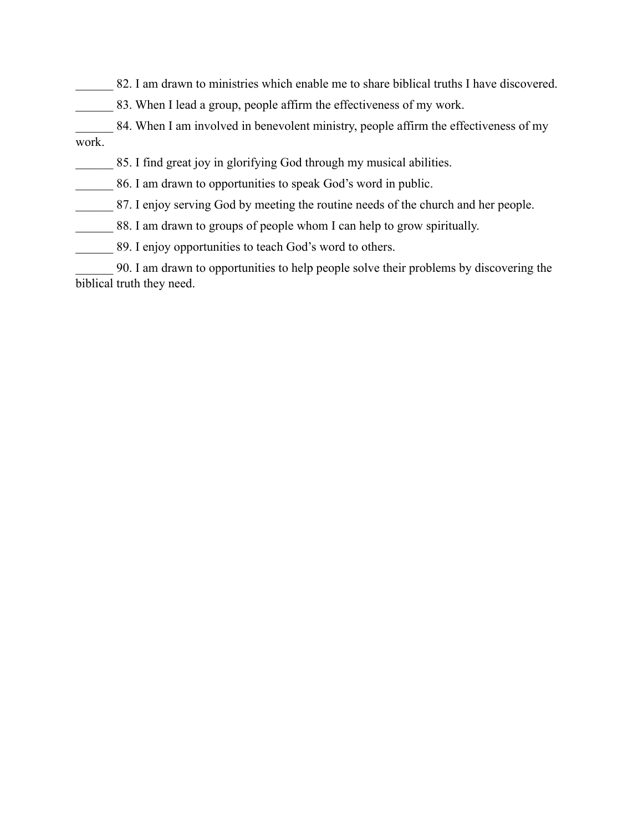82. I am drawn to ministries which enable me to share biblical truths I have discovered.

83. When I lead a group, people affirm the effectiveness of my work.

\_\_\_\_\_\_ 84. When I am involved in benevolent ministry, people affirm the effectiveness of my work.

85. I find great joy in glorifying God through my musical abilities.

\_\_\_\_\_\_ 86. I am drawn to opportunities to speak God's word in public.

\_\_\_\_\_\_ 87. I enjoy serving God by meeting the routine needs of the church and her people.

\_\_\_\_\_\_ 88. I am drawn to groups of people whom I can help to grow spiritually.

\_\_\_\_\_\_ 89. I enjoy opportunities to teach God's word to others.

\_\_\_\_\_\_ 90. I am drawn to opportunities to help people solve their problems by discovering the biblical truth they need.